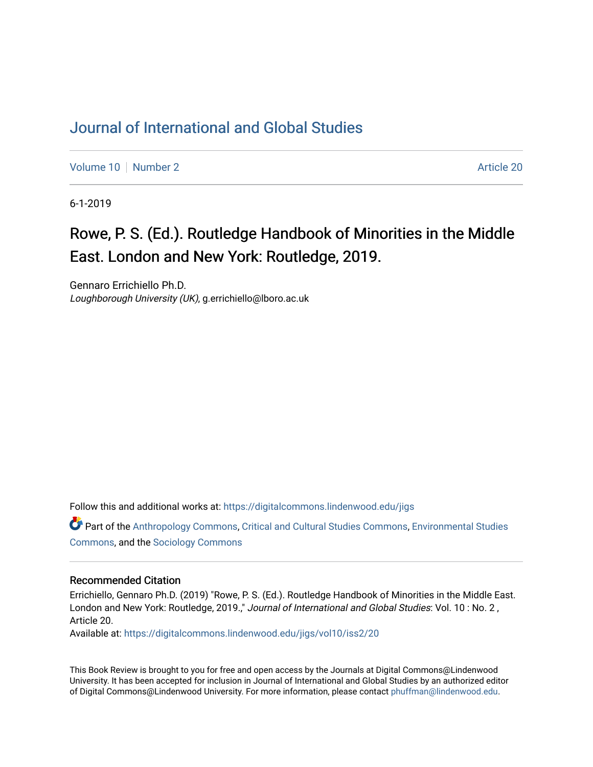## [Journal of International and Global Studies](https://digitalcommons.lindenwood.edu/jigs)

[Volume 10](https://digitalcommons.lindenwood.edu/jigs/vol10) [Number 2](https://digitalcommons.lindenwood.edu/jigs/vol10/iss2) Article 20

6-1-2019

## Rowe, P. S. (Ed.). Routledge Handbook of Minorities in the Middle East. London and New York: Routledge, 2019.

Gennaro Errichiello Ph.D. Loughborough University (UK), g.errichiello@lboro.ac.uk

Follow this and additional works at: [https://digitalcommons.lindenwood.edu/jigs](https://digitalcommons.lindenwood.edu/jigs?utm_source=digitalcommons.lindenwood.edu%2Fjigs%2Fvol10%2Fiss2%2F20&utm_medium=PDF&utm_campaign=PDFCoverPages) 

Part of the [Anthropology Commons](http://network.bepress.com/hgg/discipline/318?utm_source=digitalcommons.lindenwood.edu%2Fjigs%2Fvol10%2Fiss2%2F20&utm_medium=PDF&utm_campaign=PDFCoverPages), [Critical and Cultural Studies Commons](http://network.bepress.com/hgg/discipline/328?utm_source=digitalcommons.lindenwood.edu%2Fjigs%2Fvol10%2Fiss2%2F20&utm_medium=PDF&utm_campaign=PDFCoverPages), [Environmental Studies](http://network.bepress.com/hgg/discipline/1333?utm_source=digitalcommons.lindenwood.edu%2Fjigs%2Fvol10%2Fiss2%2F20&utm_medium=PDF&utm_campaign=PDFCoverPages)  [Commons](http://network.bepress.com/hgg/discipline/1333?utm_source=digitalcommons.lindenwood.edu%2Fjigs%2Fvol10%2Fiss2%2F20&utm_medium=PDF&utm_campaign=PDFCoverPages), and the [Sociology Commons](http://network.bepress.com/hgg/discipline/416?utm_source=digitalcommons.lindenwood.edu%2Fjigs%2Fvol10%2Fiss2%2F20&utm_medium=PDF&utm_campaign=PDFCoverPages)

## Recommended Citation

Errichiello, Gennaro Ph.D. (2019) "Rowe, P. S. (Ed.). Routledge Handbook of Minorities in the Middle East. London and New York: Routledge, 2019.," Journal of International and Global Studies: Vol. 10 : No. 2, Article 20.

Available at: [https://digitalcommons.lindenwood.edu/jigs/vol10/iss2/20](https://digitalcommons.lindenwood.edu/jigs/vol10/iss2/20?utm_source=digitalcommons.lindenwood.edu%2Fjigs%2Fvol10%2Fiss2%2F20&utm_medium=PDF&utm_campaign=PDFCoverPages) 

This Book Review is brought to you for free and open access by the Journals at Digital Commons@Lindenwood University. It has been accepted for inclusion in Journal of International and Global Studies by an authorized editor of Digital Commons@Lindenwood University. For more information, please contact [phuffman@lindenwood.edu](mailto:phuffman@lindenwood.edu).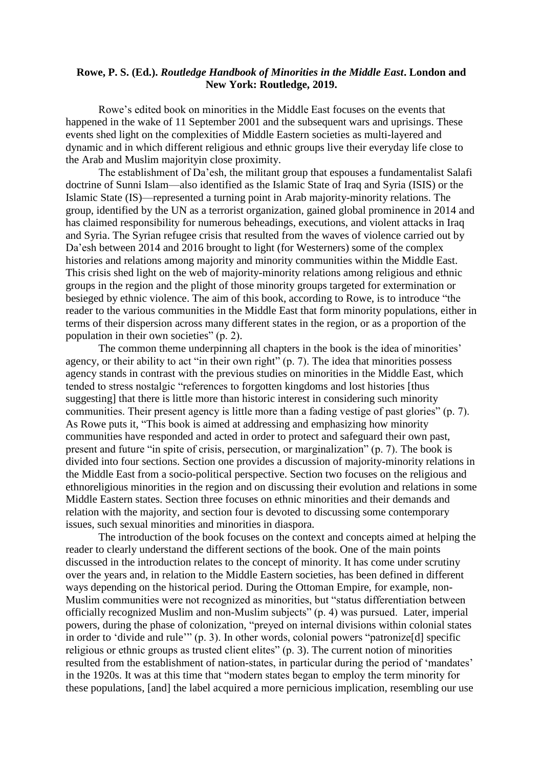## **Rowe, P. S. (Ed.).** *Routledge Handbook of Minorities in the Middle East***. London and New York: Routledge, 2019.**

Rowe's edited book on minorities in the Middle East focuses on the events that happened in the wake of 11 September 2001 and the subsequent wars and uprisings. These events shed light on the complexities of Middle Eastern societies as multi-layered and dynamic and in which different religious and ethnic groups live their everyday life close to the Arab and Muslim majorityin close proximity.

The establishment of Da'esh, the militant group that espouses a fundamentalist Salafi doctrine of Sunni Islam—also identified as the Islamic State of Iraq and Syria (ISIS) or the Islamic State (IS)—represented a turning point in Arab majority-minority relations. The group, identified by the UN as a terrorist organization, gained global prominence in 2014 and has claimed responsibility for numerous beheadings, executions, and violent attacks in Iraq and Syria. The Syrian refugee crisis that resulted from the waves of violence carried out by Da'esh between 2014 and 2016 brought to light (for Westerners) some of the complex histories and relations among majority and minority communities within the Middle East. This crisis shed light on the web of majority-minority relations among religious and ethnic groups in the region and the plight of those minority groups targeted for extermination or besieged by ethnic violence. The aim of this book, according to Rowe, is to introduce "the reader to the various communities in the Middle East that form minority populations, either in terms of their dispersion across many different states in the region, or as a proportion of the population in their own societies" (p. 2).

The common theme underpinning all chapters in the book is the idea of minorities' agency, or their ability to act "in their own right" (p. 7). The idea that minorities possess agency stands in contrast with the previous studies on minorities in the Middle East, which tended to stress nostalgic "references to forgotten kingdoms and lost histories [thus suggesting] that there is little more than historic interest in considering such minority communities. Their present agency is little more than a fading vestige of past glories" (p. 7). As Rowe puts it, "This book is aimed at addressing and emphasizing how minority communities have responded and acted in order to protect and safeguard their own past, present and future "in spite of crisis, persecution, or marginalization" (p. 7). The book is divided into four sections. Section one provides a discussion of majority-minority relations in the Middle East from a socio-political perspective. Section two focuses on the religious and ethnoreligious minorities in the region and on discussing their evolution and relations in some Middle Eastern states. Section three focuses on ethnic minorities and their demands and relation with the majority, and section four is devoted to discussing some contemporary issues, such sexual minorities and minorities in diaspora.

The introduction of the book focuses on the context and concepts aimed at helping the reader to clearly understand the different sections of the book. One of the main points discussed in the introduction relates to the concept of minority. It has come under scrutiny over the years and, in relation to the Middle Eastern societies, has been defined in different ways depending on the historical period. During the Ottoman Empire, for example, non-Muslim communities were not recognized as minorities, but "status differentiation between officially recognized Muslim and non-Muslim subjects" (p. 4) was pursued. Later, imperial powers, during the phase of colonization, "preyed on internal divisions within colonial states in order to 'divide and rule'" (p. 3). In other words, colonial powers "patronize[d] specific religious or ethnic groups as trusted client elites" (p. 3). The current notion of minorities resulted from the establishment of nation-states, in particular during the period of 'mandates' in the 1920s. It was at this time that "modern states began to employ the term minority for these populations, [and] the label acquired a more pernicious implication, resembling our use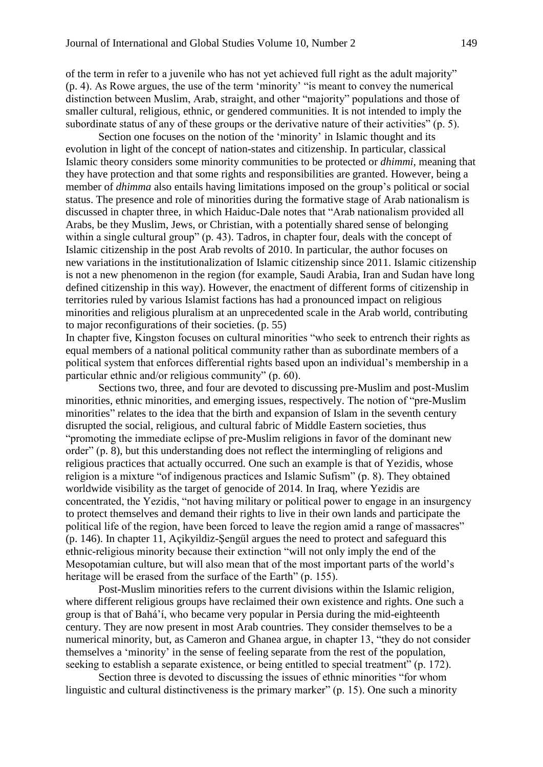of the term in refer to a juvenile who has not yet achieved full right as the adult majority" (p. 4). As Rowe argues, the use of the term 'minority' "is meant to convey the numerical distinction between Muslim, Arab, straight, and other "majority" populations and those of smaller cultural, religious, ethnic, or gendered communities. It is not intended to imply the subordinate status of any of these groups or the derivative nature of their activities" (p. 5).

Section one focuses on the notion of the 'minority' in Islamic thought and its evolution in light of the concept of nation-states and citizenship. In particular, classical Islamic theory considers some minority communities to be protected or *dhimmi*, meaning that they have protection and that some rights and responsibilities are granted. However, being a member of *dhimma* also entails having limitations imposed on the group's political or social status. The presence and role of minorities during the formative stage of Arab nationalism is discussed in chapter three, in which Haiduc-Dale notes that "Arab nationalism provided all Arabs, be they Muslim, Jews, or Christian, with a potentially shared sense of belonging within a single cultural group" (p. 43). Tadros, in chapter four, deals with the concept of Islamic citizenship in the post Arab revolts of 2010. In particular, the author focuses on new variations in the institutionalization of Islamic citizenship since 2011. Islamic citizenship is not a new phenomenon in the region (for example, Saudi Arabia, Iran and Sudan have long defined citizenship in this way). However, the enactment of different forms of citizenship in territories ruled by various Islamist factions has had a pronounced impact on religious minorities and religious pluralism at an unprecedented scale in the Arab world, contributing to major reconfigurations of their societies. (p. 55)

In chapter five, Kingston focuses on cultural minorities "who seek to entrench their rights as equal members of a national political community rather than as subordinate members of a political system that enforces differential rights based upon an individual's membership in a particular ethnic and/or religious community" (p. 60).

Sections two, three, and four are devoted to discussing pre-Muslim and post-Muslim minorities, ethnic minorities, and emerging issues, respectively. The notion of "pre-Muslim minorities" relates to the idea that the birth and expansion of Islam in the seventh century disrupted the social, religious, and cultural fabric of Middle Eastern societies, thus "promoting the immediate eclipse of pre-Muslim religions in favor of the dominant new order" (p. 8), but this understanding does not reflect the intermingling of religions and religious practices that actually occurred. One such an example is that of Yezidis, whose religion is a mixture "of indigenous practices and Islamic Sufism" (p. 8). They obtained worldwide visibility as the target of genocide of 2014. In Iraq, where Yezidis are concentrated, the Yezidis, "not having military or political power to engage in an insurgency to protect themselves and demand their rights to live in their own lands and participate the political life of the region, have been forced to leave the region amid a range of massacres" (p. 146). In chapter 11, Açikyildiz-Şengül argues the need to protect and safeguard this ethnic-religious minority because their extinction "will not only imply the end of the Mesopotamian culture, but will also mean that of the most important parts of the world's heritage will be erased from the surface of the Earth" (p. 155).

Post-Muslim minorities refers to the current divisions within the Islamic religion, where different religious groups have reclaimed their own existence and rights. One such a group is that of Bahá'í, who became very popular in Persia during the mid-eighteenth century. They are now present in most Arab countries. They consider themselves to be a numerical minority, but, as Cameron and Ghanea argue, in chapter 13, "they do not consider themselves a 'minority' in the sense of feeling separate from the rest of the population, seeking to establish a separate existence, or being entitled to special treatment" (p. 172).

Section three is devoted to discussing the issues of ethnic minorities "for whom linguistic and cultural distinctiveness is the primary marker" (p. 15). One such a minority